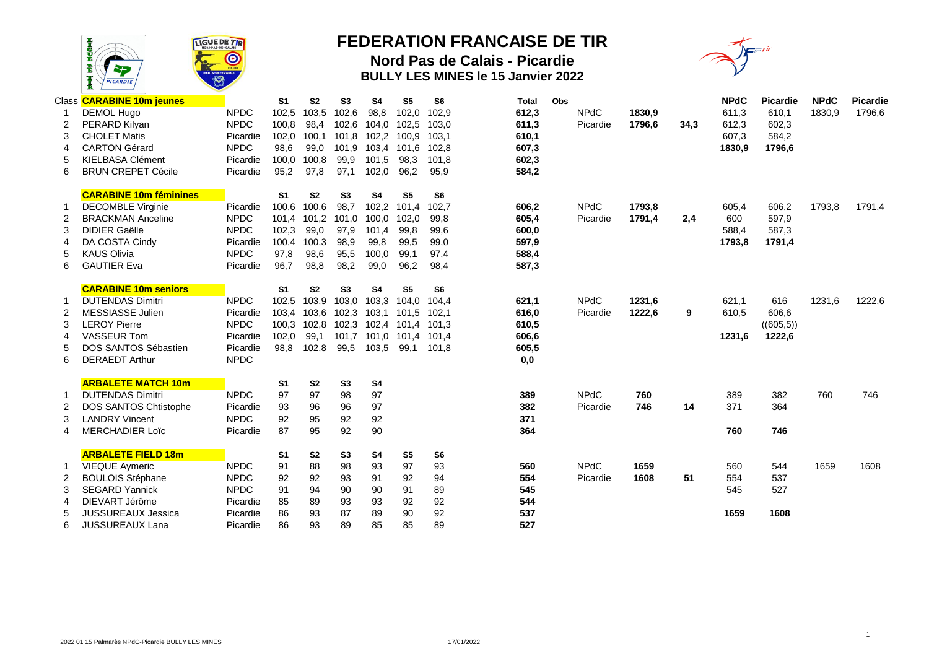

## **FEDERATION FRANCAISE DE TIR**

**Nord Pas de Calais - Picardie BULLY LES MINES le 15 Janvier 2022**



|   | Class <b>CARABINE 10m jeunes</b> |             | S <sub>1</sub> | S <sub>2</sub> | S3             | S4             | S <sub>5</sub> | S <sub>6</sub> | Total | Obs |             |        |      | <b>NPdC</b> | <b>Picardie</b> | <b>NPdC</b> | <b>Picardie</b> |
|---|----------------------------------|-------------|----------------|----------------|----------------|----------------|----------------|----------------|-------|-----|-------------|--------|------|-------------|-----------------|-------------|-----------------|
|   | <b>DEMOL Hugo</b>                | <b>NPDC</b> | 102,5          | 103,5          | 102,6          | 98,8           | 102,0          | 102,9          | 612,3 |     | <b>NPdC</b> | 1830,9 |      | 611,3       | 610,1           | 1830,9      | 1796,6          |
|   | PERARD Kilyan                    | <b>NPDC</b> | 100,8          | 98,4           | 102,6          | 104,0          | 102,5          | 103,0          | 611,3 |     | Picardie    | 1796,6 | 34,3 | 612,3       | 602,3           |             |                 |
|   | <b>CHOLET Matis</b>              | Picardie    | 102,0          | 100,1          | 101,8          | 102,2          | 100,9          | 103,1          | 610,1 |     |             |        |      | 607,3       | 584,2           |             |                 |
|   | <b>CARTON Gérard</b>             | <b>NPDC</b> | 98,6           | 99,0           | 101,9          | 103,4          | 101.6          | 102.8          | 607,3 |     |             |        |      | 1830,9      | 1796,6          |             |                 |
|   | <b>KIELBASA Clément</b>          | Picardie    | 100,0          | 100,8          | 99,9           | 101,5          | 98,3           | 101.8          | 602,3 |     |             |        |      |             |                 |             |                 |
| 6 | <b>BRUN CREPET Cécile</b>        | Picardie    | 95,2           | 97,8           | 97,1           | 102,0          | 96,2           | 95,9           | 584,2 |     |             |        |      |             |                 |             |                 |
|   | <b>CARABINE 10m féminines</b>    |             | S <sub>1</sub> | S <sub>2</sub> | S <sub>3</sub> | <b>S4</b>      | S <sub>5</sub> | S <sub>6</sub> |       |     |             |        |      |             |                 |             |                 |
|   | <b>DECOMBLE Virginie</b>         | Picardie    | 100,6          | 100,6          | 98,7           | 102,2          | 101,4          | 102,7          | 606,2 |     | <b>NPdC</b> | 1793,8 |      | 605,4       | 606,2           | 1793,8      | 1791,4          |
|   | <b>BRACKMAN Anceline</b>         | <b>NPDC</b> | 101,4          | 101,2          | 101,0          | 100,0          | 102,0          | 99,8           | 605,4 |     | Picardie    | 1791,4 | 2,4  | 600         | 597,9           |             |                 |
|   | <b>DIDIER Gaëlle</b>             | <b>NPDC</b> | 102,3          | 99,0           | 97,9           | 101,4          | 99,8           | 99,6           | 600,0 |     |             |        |      | 588,4       | 587,3           |             |                 |
|   | DA COSTA Cindy                   | Picardie    | 100,4          | 100,3          | 98,9           | 99,8           | 99,5           | 99,0           | 597,9 |     |             |        |      | 1793,8      | 1791,4          |             |                 |
|   | <b>KAUS Olivia</b>               | <b>NPDC</b> | 97,8           | 98,6           | 95,5           | 100,0          | 99,1           | 97,4           | 588,4 |     |             |        |      |             |                 |             |                 |
| 6 | <b>GAUTIER Eva</b>               | Picardie    | 96,7           | 98,8           | 98,2           | 99,0           | 96,2           | 98,4           | 587,3 |     |             |        |      |             |                 |             |                 |
|   | <b>CARABINE 10m seniors</b>      |             | S <sub>1</sub> | S <sub>2</sub> | S <sub>3</sub> | S <sub>4</sub> | S <sub>5</sub> | S <sub>6</sub> |       |     |             |        |      |             |                 |             |                 |
|   | <b>DUTENDAS Dimitri</b>          | <b>NPDC</b> | 102.5          | 103,9          | 103,0          | 103,3          | 104.0          | 104.4          | 621,1 |     | <b>NPdC</b> | 1231,6 |      | 621.1       | 616             | 1231.6      | 1222,6          |
|   | MESSIASSE Julien                 | Picardie    | 103,4          | 103,6          | 102.3          | 103.1          | 101.5          | 102.1          | 616,0 |     | Picardie    | 1222,6 | 9    | 610,5       | 606,6           |             |                 |
|   | <b>LEROY Pierre</b>              | <b>NPDC</b> | 100,3          | 102,8          | 102,3          | 102.4          | 101.4          | 101.3          | 610,5 |     |             |        |      |             | ((605, 5))      |             |                 |
|   | <b>VASSEUR Tom</b>               | Picardie    | 102,0          | 99,1           | 101,7          | 101,0          | 101,4          | 101,4          | 606,6 |     |             |        |      | 1231,6      | 1222,6          |             |                 |
|   | DOS SANTOS Sébastien             | Picardie    | 98,8           | 102,8          | 99,5           | 103,5          | 99,1           | 101,8          | 605,5 |     |             |        |      |             |                 |             |                 |
| 6 | <b>DERAEDT Arthur</b>            | <b>NPDC</b> |                |                |                |                |                |                | 0,0   |     |             |        |      |             |                 |             |                 |
|   | <b>ARBALETE MATCH 10m</b>        |             | S <sub>1</sub> | S <sub>2</sub> | S <sub>3</sub> | S <sub>4</sub> |                |                |       |     |             |        |      |             |                 |             |                 |
|   | <b>DUTENDAS Dimitri</b>          | <b>NPDC</b> | 97             | 97             | 98             | 97             |                |                | 389   |     | <b>NPdC</b> | 760    |      | 389         | 382             | 760         | 746             |
| 2 | <b>DOS SANTOS Chtistophe</b>     | Picardie    | 93             | 96             | 96             | 97             |                |                | 382   |     | Picardie    | 746    | 14   | 371         | 364             |             |                 |
| 3 | <b>LANDRY Vincent</b>            | <b>NPDC</b> | 92             | 95             | 92             | 92             |                |                | 371   |     |             |        |      |             |                 |             |                 |
|   | <b>MERCHADIER Loïc</b>           | Picardie    | 87             | 95             | 92             | 90             |                |                | 364   |     |             |        |      | 760         | 746             |             |                 |
|   | <b>ARBALETE FIELD 18m</b>        |             | S <sub>1</sub> | <b>S2</b>      | S <sub>3</sub> | S4             | S <sub>5</sub> | S <sub>6</sub> |       |     |             |        |      |             |                 |             |                 |
|   | <b>VIEQUE Aymeric</b>            | <b>NPDC</b> | 91             | 88             | 98             | 93             | 97             | 93             | 560   |     | <b>NPdC</b> | 1659   |      | 560         | 544             | 1659        | 1608            |
| 2 | <b>BOULOIS Stéphane</b>          | <b>NPDC</b> | 92             | 92             | 93             | 91             | 92             | 94             | 554   |     | Picardie    | 1608   | 51   | 554         | 537             |             |                 |
|   | <b>SEGARD Yannick</b>            | <b>NPDC</b> | 91             | 94             | 90             | 90             | 91             | 89             | 545   |     |             |        |      | 545         | 527             |             |                 |
|   | DIEVART Jérôme                   | Picardie    | 85             | 89             | 93             | 93             | 92             | 92             | 544   |     |             |        |      |             |                 |             |                 |
|   | <b>JUSSUREAUX Jessica</b>        | Picardie    | 86             | 93             | 87             | 89             | 90             | 92             | 537   |     |             |        |      | 1659        | 1608            |             |                 |
| 6 | JUSSUREAUX Lana                  | Picardie    | 86             | 93             | 89             | 85             | 85             | 89             | 527   |     |             |        |      |             |                 |             |                 |